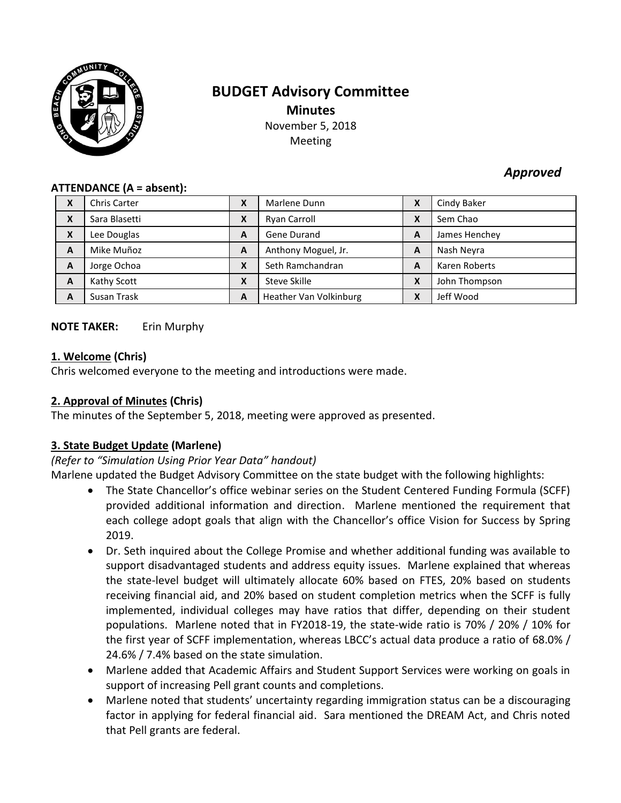

# **BUDGET Advisory Committee Minutes** November 5, 2018

Meeting

# *Approved*

#### **ATTENDANCE (A = absent):**

| X | <b>Chris Carter</b> | $\mathbf{v}$<br>Λ                      | Marlene Dunn           | X | Cindy Baker   |
|---|---------------------|----------------------------------------|------------------------|---|---------------|
| X | Sara Blasetti       | X                                      | Ryan Carroll           | X | Sem Chao      |
| X | Lee Douglas         | A                                      | Gene Durand            | A | James Henchey |
| A | Mike Muñoz          | A                                      | Anthony Moguel, Jr.    | A | Nash Neyra    |
| A | Jorge Ochoa         | $\mathbf{v}$<br>$\boldsymbol{\Lambda}$ | Seth Ramchandran       | A | Karen Roberts |
| A | Kathy Scott         | X                                      | Steve Skille           | X | John Thompson |
| A | Susan Trask         | A                                      | Heather Van Volkinburg | X | Jeff Wood     |

#### **NOTE TAKER:** Erin Murphy

#### **1. Welcome (Chris)**

Chris welcomed everyone to the meeting and introductions were made.

#### **2. Approval of Minutes (Chris)**

The minutes of the September 5, 2018, meeting were approved as presented.

### **3. State Budget Update (Marlene)**

#### *(Refer to "Simulation Using Prior Year Data" handout)*

Marlene updated the Budget Advisory Committee on the state budget with the following highlights:

- The State Chancellor's office webinar series on the Student Centered Funding Formula (SCFF) provided additional information and direction. Marlene mentioned the requirement that each college adopt goals that align with the Chancellor's office Vision for Success by Spring 2019.
- Dr. Seth inquired about the College Promise and whether additional funding was available to support disadvantaged students and address equity issues. Marlene explained that whereas the state-level budget will ultimately allocate 60% based on FTES, 20% based on students receiving financial aid, and 20% based on student completion metrics when the SCFF is fully implemented, individual colleges may have ratios that differ, depending on their student populations. Marlene noted that in FY2018-19, the state-wide ratio is 70% / 20% / 10% for the first year of SCFF implementation, whereas LBCC's actual data produce a ratio of 68.0% / 24.6% / 7.4% based on the state simulation.
- Marlene added that Academic Affairs and Student Support Services were working on goals in support of increasing Pell grant counts and completions.
- Marlene noted that students' uncertainty regarding immigration status can be a discouraging factor in applying for federal financial aid. Sara mentioned the DREAM Act, and Chris noted that Pell grants are federal.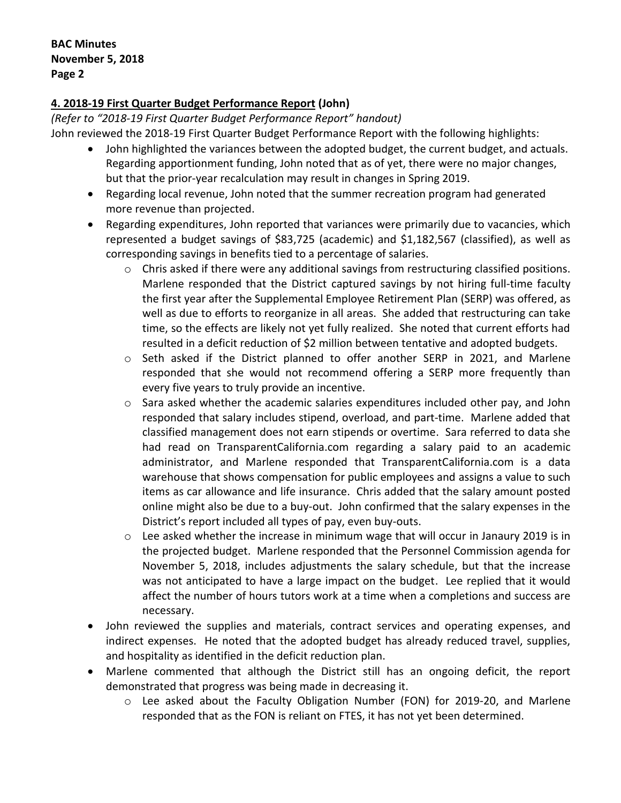## **4. 2018-19 First Quarter Budget Performance Report (John)**

*(Refer to "2018-19 First Quarter Budget Performance Report" handout)*

John reviewed the 2018-19 First Quarter Budget Performance Report with the following highlights:

- John highlighted the variances between the adopted budget, the current budget, and actuals. Regarding apportionment funding, John noted that as of yet, there were no major changes, but that the prior-year recalculation may result in changes in Spring 2019.
- Regarding local revenue, John noted that the summer recreation program had generated more revenue than projected.
- Regarding expenditures, John reported that variances were primarily due to vacancies, which represented a budget savings of \$83,725 (academic) and \$1,182,567 (classified), as well as corresponding savings in benefits tied to a percentage of salaries.
	- $\circ$  Chris asked if there were any additional savings from restructuring classified positions. Marlene responded that the District captured savings by not hiring full-time faculty the first year after the Supplemental Employee Retirement Plan (SERP) was offered, as well as due to efforts to reorganize in all areas. She added that restructuring can take time, so the effects are likely not yet fully realized. She noted that current efforts had resulted in a deficit reduction of \$2 million between tentative and adopted budgets.
	- o Seth asked if the District planned to offer another SERP in 2021, and Marlene responded that she would not recommend offering a SERP more frequently than every five years to truly provide an incentive.
	- $\circ$  Sara asked whether the academic salaries expenditures included other pay, and John responded that salary includes stipend, overload, and part-time. Marlene added that classified management does not earn stipends or overtime. Sara referred to data she had read on TransparentCalifornia.com regarding a salary paid to an academic administrator, and Marlene responded that TransparentCalifornia.com is a data warehouse that shows compensation for public employees and assigns a value to such items as car allowance and life insurance. Chris added that the salary amount posted online might also be due to a buy-out. John confirmed that the salary expenses in the District's report included all types of pay, even buy-outs.
	- o Lee asked whether the increase in minimum wage that will occur in Janaury 2019 is in the projected budget. Marlene responded that the Personnel Commission agenda for November 5, 2018, includes adjustments the salary schedule, but that the increase was not anticipated to have a large impact on the budget. Lee replied that it would affect the number of hours tutors work at a time when a completions and success are necessary.
- John reviewed the supplies and materials, contract services and operating expenses, and indirect expenses. He noted that the adopted budget has already reduced travel, supplies, and hospitality as identified in the deficit reduction plan.
- Marlene commented that although the District still has an ongoing deficit, the report demonstrated that progress was being made in decreasing it.
	- o Lee asked about the Faculty Obligation Number (FON) for 2019-20, and Marlene responded that as the FON is reliant on FTES, it has not yet been determined.